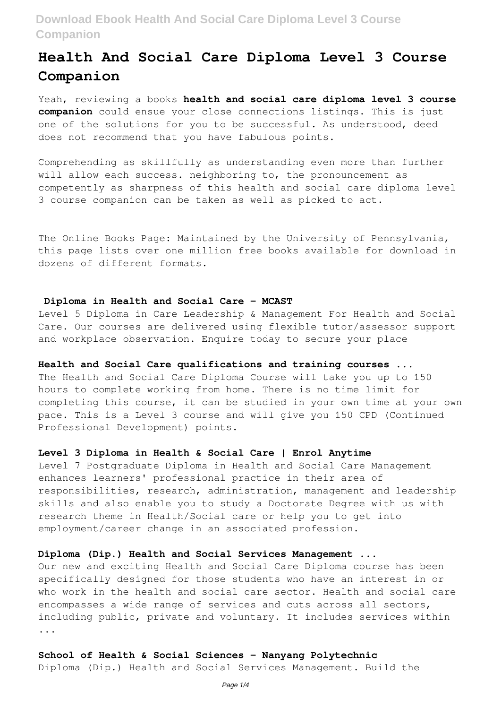# **Health And Social Care Diploma Level 3 Course Companion**

Yeah, reviewing a books **health and social care diploma level 3 course companion** could ensue your close connections listings. This is just one of the solutions for you to be successful. As understood, deed does not recommend that you have fabulous points.

Comprehending as skillfully as understanding even more than further will allow each success. neighboring to, the pronouncement as competently as sharpness of this health and social care diploma level 3 course companion can be taken as well as picked to act.

The Online Books Page: Maintained by the University of Pennsylvania, this page lists over one million free books available for download in dozens of different formats.

### **Diploma in Health and Social Care – MCAST**

Level 5 Diploma in Care Leadership & Management For Health and Social Care. Our courses are delivered using flexible tutor/assessor support and workplace observation. Enquire today to secure your place

# **Health and Social Care qualifications and training courses ...**

The Health and Social Care Diploma Course will take you up to 150 hours to complete working from home. There is no time limit for completing this course, it can be studied in your own time at your own pace. This is a Level 3 course and will give you 150 CPD (Continued Professional Development) points.

# **Level 3 Diploma in Health & Social Care | Enrol Anytime**

Level 7 Postgraduate Diploma in Health and Social Care Management enhances learners' professional practice in their area of responsibilities, research, administration, management and leadership skills and also enable you to study a Doctorate Degree with us with research theme in Health/Social care or help you to get into employment/career change in an associated profession.

# **Diploma (Dip.) Health and Social Services Management ...**

Our new and exciting Health and Social Care Diploma course has been specifically designed for those students who have an interest in or who work in the health and social care sector. Health and social care encompasses a wide range of services and cuts across all sectors, including public, private and voluntary. It includes services within ...

# **School of Health & Social Sciences - Nanyang Polytechnic**

Diploma (Dip.) Health and Social Services Management. Build the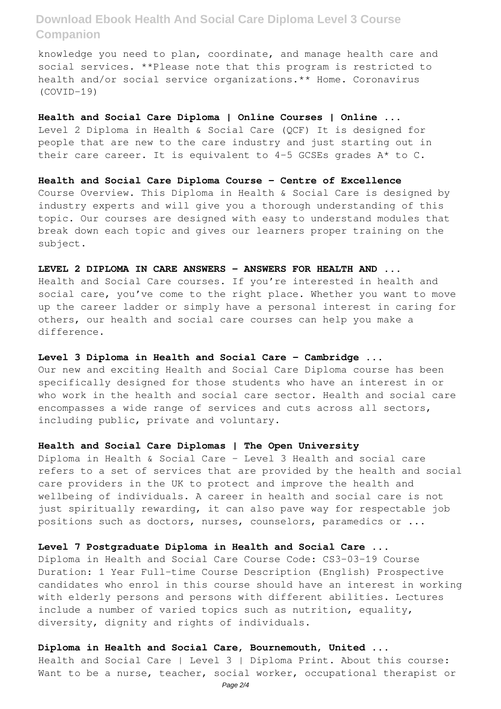knowledge you need to plan, coordinate, and manage health care and social services. \*\*Please note that this program is restricted to health and/or social service organizations.\*\* Home. Coronavirus (COVID-19)

**Health and Social Care Diploma | Online Courses | Online ...** Level 2 Diploma in Health & Social Care (QCF) It is designed for people that are new to the care industry and just starting out in their care career. It is equivalent to 4-5 GCSEs grades A\* to C.

**Health and Social Care Diploma Course - Centre of Excellence** Course Overview. This Diploma in Health & Social Care is designed by industry experts and will give you a thorough understanding of this topic. Our courses are designed with easy to understand modules that break down each topic and gives our learners proper training on the subject.

### **LEVEL 2 DIPLOMA IN CARE ANSWERS – ANSWERS FOR HEALTH AND ...**

Health and Social Care courses. If you're interested in health and social care, you've come to the right place. Whether you want to move up the career ladder or simply have a personal interest in caring for others, our health and social care courses can help you make a difference.

# **Level 3 Diploma in Health and Social Care – Cambridge ...**

Our new and exciting Health and Social Care Diploma course has been specifically designed for those students who have an interest in or who work in the health and social care sector. Health and social care encompasses a wide range of services and cuts across all sectors, including public, private and voluntary.

#### **Health and Social Care Diplomas | The Open University**

Diploma in Health & Social Care - Level 3 Health and social care refers to a set of services that are provided by the health and social care providers in the UK to protect and improve the health and wellbeing of individuals. A career in health and social care is not just spiritually rewarding, it can also pave way for respectable job positions such as doctors, nurses, counselors, paramedics or ...

# **Level 7 Postgraduate Diploma in Health and Social Care ...**

Diploma in Health and Social Care Course Code: CS3-03-19 Course Duration: 1 Year Full-time Course Description (English) Prospective candidates who enrol in this course should have an interest in working with elderly persons and persons with different abilities. Lectures include a number of varied topics such as nutrition, equality, diversity, dignity and rights of individuals.

**Diploma in Health and Social Care, Bournemouth, United ...** Health and Social Care | Level 3 | Diploma Print. About this course: Want to be a nurse, teacher, social worker, occupational therapist or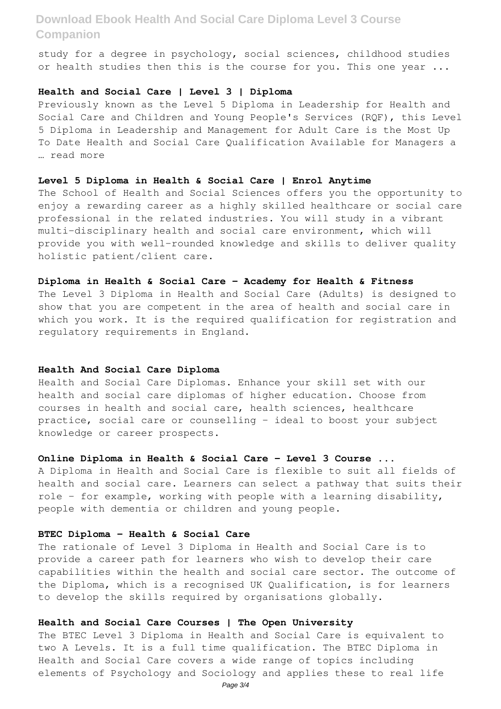study for a degree in psychology, social sciences, childhood studies or health studies then this is the course for you. This one year ...

# **Health and Social Care | Level 3 | Diploma**

Previously known as the Level 5 Diploma in Leadership for Health and Social Care and Children and Young People's Services (RQF), this Level 5 Diploma in Leadership and Management for Adult Care is the Most Up To Date Health and Social Care Qualification Available for Managers a … read more

## **Level 5 Diploma in Health & Social Care | Enrol Anytime**

The School of Health and Social Sciences offers you the opportunity to enjoy a rewarding career as a highly skilled healthcare or social care professional in the related industries. You will study in a vibrant multi-disciplinary health and social care environment, which will provide you with well-rounded knowledge and skills to deliver quality holistic patient/client care.

#### **Diploma in Health & Social Care – Academy for Health & Fitness**

The Level 3 Diploma in Health and Social Care (Adults) is designed to show that you are competent in the area of health and social care in which you work. It is the required qualification for registration and regulatory requirements in England.

#### **Health And Social Care Diploma**

Health and Social Care Diplomas. Enhance your skill set with our health and social care diplomas of higher education. Choose from courses in health and social care, health sciences, healthcare practice, social care or counselling – ideal to boost your subject knowledge or career prospects.

## **Online Diploma in Health & Social Care - Level 3 Course ...**

A Diploma in Health and Social Care is flexible to suit all fields of health and social care. Learners can select a pathway that suits their role - for example, working with people with a learning disability, people with dementia or children and young people.

#### **BTEC Diploma - Health & Social Care**

The rationale of Level 3 Diploma in Health and Social Care is to provide a career path for learners who wish to develop their care capabilities within the health and social care sector. The outcome of the Diploma, which is a recognised UK Qualification, is for learners to develop the skills required by organisations globally.

# **Health and Social Care Courses | The Open University**

The BTEC Level 3 Diploma in Health and Social Care is equivalent to two A Levels. It is a full time qualification. The BTEC Diploma in Health and Social Care covers a wide range of topics including elements of Psychology and Sociology and applies these to real life